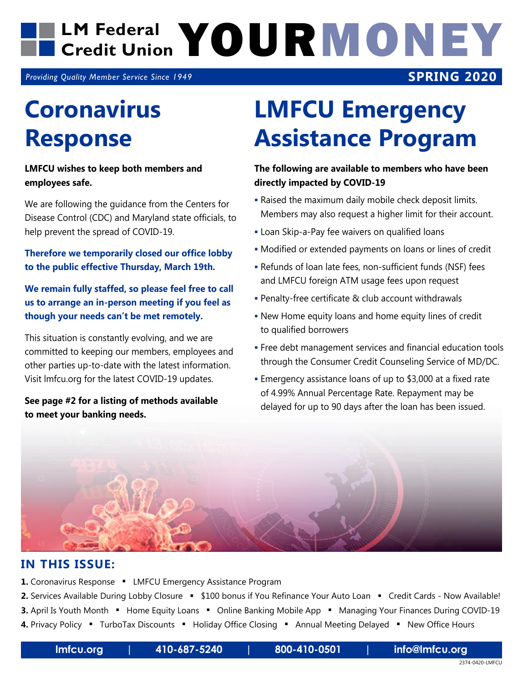#### LM Federal **YOURMONEY Credit Union**

*Providing Quality Member Service Since 1949*

### **Coronavirus Response**

#### **LMFCU wishes to keep both members and employees safe.**

We are following the guidance from the Centers for Disease Control (CDC) and Maryland state officials, to help prevent the spread of COVID-19.

**Therefore we temporarily closed our office lobby to the public effective Thursday, March 19th.**

**We remain fully staffed, so please feel free to call us to arrange an in-person meeting if you feel as though your needs can't be met remotely.**

This situation is constantly evolving, and we are committed to keeping our members, employees and other parties up-to-date with the latest information. Visit lmfcu.org for the latest COVID-19 updates.

#### **See page #2 for a listing of methods available to meet your banking needs.**

# **LMFCU Emergency Assistance Program**

**SPRING 2020**

**The following are available to members who have been directly impacted by COVID-19** 

- Raised the maximum daily mobile check deposit limits. Members may also request a higher limit for their account.
- **-** Loan Skip-a-Pay fee waivers on qualified loans
- Modified or extended payments on loans or lines of credit
- Refunds of loan late fees, non-sufficient funds (NSF) fees and LMFCU foreign ATM usage fees upon request
- Penalty-free certificate & club account withdrawals
- New Home equity loans and home equity lines of credit to qualified borrowers
- Free debt management services and financial education tools through the Consumer Credit Counseling Service of MD/DC.
- Emergency assistance loans of up to \$3,000 at a fixed rate of 4.99% Annual Percentage Rate. Repayment may be delayed for up to 90 days after the loan has been issued.



#### **IN THIS ISSUE:**

1. Coronavirus Response • LMFCU Emergency Assistance Program

2. Services Available During Lobby Closure <sup>=</sup> \$100 bonus if You Refinance Your Auto Loan = Credit Cards - Now Available!

**3.** April Is Youth Month " Home Equity Loans " Online Banking Mobile App " Managing Your Finances During COVID-19

4. Privacy Policy • TurboTax Discounts • Holiday Office Closing • Annual Meeting Delayed • New Office Hours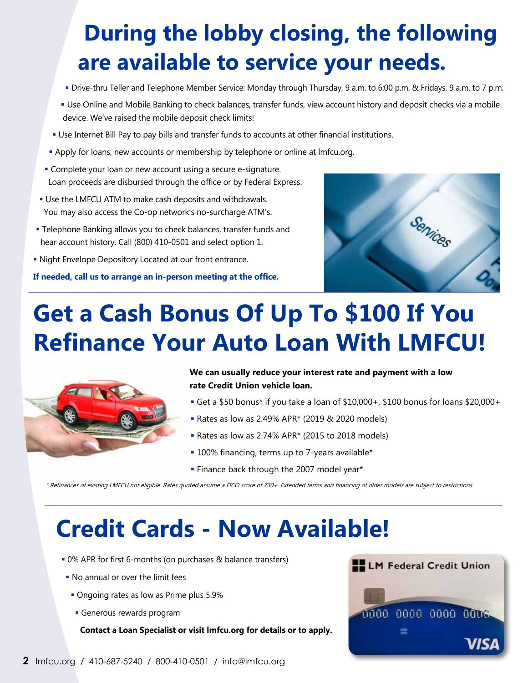#### **During the lobby closing, the following are available to service your needs.**

- Drive-thru Teller and Telephone Member Service: Monday through Thursday, 9 a.m. to 6:00 p.m. & Fridays, 9 a.m. to 7 p.m.
- Use Online and Mobile Banking to check balances, transfer funds, view account history and deposit checks via a mobile device. We've raised the mobile deposit check limits!
- Use Internet Bill Pay to pay bills and transfer funds to accounts at other financial institutions.
- **Apply for loans, new accounts or membership by telephone or online at Imfcu.org.**
- Complete your loan or new account using a secure e-signature. Loan proceeds are disbursed through the office or by Federal Express.
- Use the LMFCU ATM to make cash deposits and withdrawals. You may also access the Co-op network's no-surcharge ATM's.
- Telephone Banking allows you to check balances, transfer funds and hear account history. Call (800) 410-0501 and select option 1.
- **Night Envelope Depository Located at our front entrance.**

**If needed, call us to arrange an in-person meeting at the office.**



### **Get a Cash Bonus Of Up To \$100 If You Refinance Your Auto Loan With LMFCU!**



**We can usually reduce your interest rate and payment with a low rate Credit Union vehicle loan.**

- Get a \$50 bonus\* if you take a loan of \$10,000+, \$100 bonus for loans \$20,000+
- Rates as low as 2.49% APR\* (2019 & 2020 models)
- Rates as low as 2.74% APR\* (2015 to 2018 models)
- **100% financing, terms up to 7-years available\***
- **Finance back through the 2007 model year\***

\* Refinances of existing LMFCU not eligible. Rates quoted assume a FICO score of 730+. Extended terms and financing of older models are subject to restrictions.

### **Credit Cards - Now Available!**

- 0% APR for first 6-months (on purchases & balance transfers)
- **No annual or over the limit fees**
- Ongoing rates as low as Prime plus 5.9%
- Generous rewards program

**Contact a Loan Specialist or visit lmfcu.org for details or to apply.** 

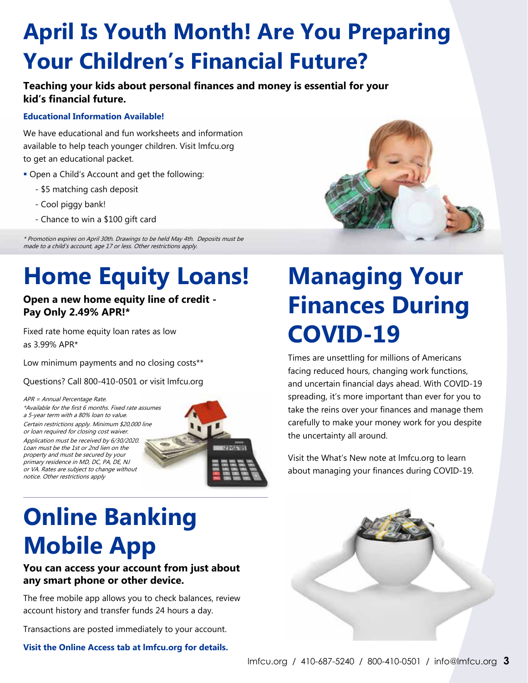#### **April Is Youth Month! Are You Preparing Your Children's Financial Future?**

**Teaching your kids about personal finances and money is essential for your kid's financial future.** 

#### **Educational Information Available!**

We have educational and fun worksheets and information available to help teach younger children. Visit lmfcu.org to get an educational packet.

- Open a Child's Account and get the following:
	- \$5 matching cash deposit
	- Cool piggy bank!
	- Chance to win a \$100 gift card

\* Promotion expires on April 30th. Drawings to be held May 4th. Deposits must be made to a child's account, age 17 or less. Other restrictions apply.

### **Home Equity Loans!**

#### **Open a new home equity line of credit - Pay Only 2.49% APR!\***

Fixed rate home equity loan rates as low as 3.99% APR\*

Low minimum payments and no closing costs\*\*

Questions? Call 800-410-0501 or visit lmfcu.org

APR = Annual Percentage Rate. \*Available for the first 6 months. Fixed rate assumes a 5-year term with a 80% loan to value. Certain restrictions apply. Minimum \$20,000 line or loan required for closing cost waiver. Application must be received by 6/30/2020. Loan must be the 1st or 2nd lien on the property and must be secured by your primary residence in MD, DC, PA, DE, NJ or VA. Rates are subject to change without notice. Other restrictions apply



### **Online Banking Mobile App**

#### **You can access your account from just about any smart phone or other device.**

The free mobile app allows you to check balances, review account history and transfer funds 24 hours a day.

Transactions are posted immediately to your account.

#### **Visit the Online Access tab at lmfcu.org for details.**



### **Managing Your Finances During COVID-19**

Times are unsettling for millions of Americans facing reduced hours, changing work functions, and uncertain financial days ahead. With COVID-19 spreading, it's more important than ever for you to take the reins over your finances and manage them carefully to make your money work for you despite the uncertainty all around.

Visit the What's New note at lmfcu.org to learn about managing your finances during COVID-19.